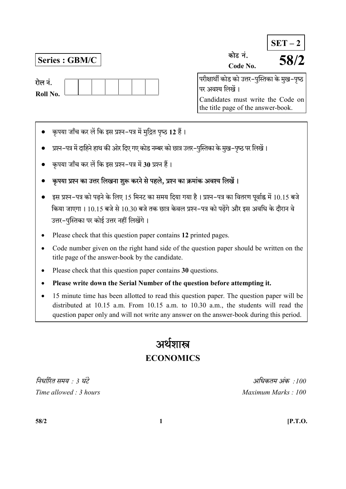| रोल नं.  |  |  |  |  |
|----------|--|--|--|--|
| Roll No. |  |  |  |  |

Series : GBM/C  $\vert$ 

|                                                | $SET - 2$ |
|------------------------------------------------|-----------|
| कोड नं.                                        | 58/2      |
| Code No.                                       |           |
| परीक्षार्थी कोड को उत्तर–पुस्तिका के मुख–पृष्ठ |           |
| पर अवश्य लिखें ।                               |           |
| Candidates must write the Code on              |           |

the title page of the answer-book.

- कृपया जाँच कर लें कि इस प्रश्न-पत्र में मुद्रित पृष्ठ 12 हैं।
- प्रश्न-पत्र में दाहिने हाथ की ओर दिए गए कोड नम्बर को छात्र उत्तर-पुस्तिका के मुख-पृष्ठ पर लिखें।
- कृपया जाँच कर लें कि इस प्रश्न-पत्र में 30 प्रश्न हैं।
- कृपया प्रश्न का उत्तर लिखना शुरू करने से पहले, प्रश्न का क्रमांक अवश्य लिखें।
- इस प्रश्न-पत्र को पढ़ने के लिए 15 मिनट का समय दिया गया है। प्रश्न-पत्र का वितरण पूर्वाह्न में 10.15 बजे किया जाएगा। 10.15 बजे से 10.30 बजे तक छात्र केवल प्रश्न–पत्र को पढेंगे और इस अवधि के दौरान वे उत्तर-पुस्तिका पर कोई उत्तर नहीं लिखेंगे।
- Please check that this question paper contains 12 printed pages.
- Code number given on the right hand side of the question paper should be written on the title page of the answer-book by the candidate.
- Please check that this question paper contains 30 questions.
- Please write down the Serial Number of the question before attempting it.
- 15 minute time has been allotted to read this question paper. The question paper will be distributed at 10.15 a.m. From 10.15 a.m. to 10.30 a.m., the students will read the question paper only and will not write any answer on the answer-book during this period.

# अर्थशास्त्र **ECONOMICS**

 : 3 : 100 Time allowed : 3 hours and the set of the Maximum Marks : 100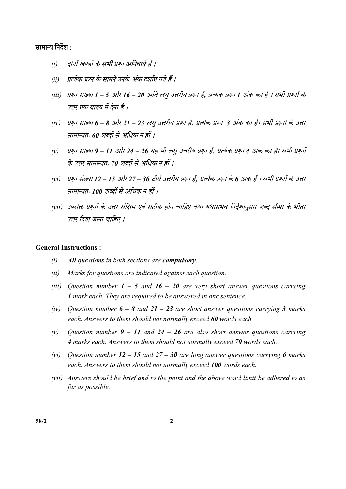# सामान्य निर्देश :

- (i) दोनों खण्डों के **सभी** प्रश्न **अनिवार्य** हैं ।
- (ii) प्रत्येक प्रश्न के सामने उनके अंक दर्शाए गये हैं ।
- (iii) प्रश्न संख्या 1 5 और 16 20 अति लघु उत्तरीय प्रश्न हैं, प्रत्येक प्रश्न 1 अंक का है । सभी प्रश्नों के उत्तर एक वाक्य में देना है ।
- (iv) प्रश्न संख्या 6 8 और 21 23 लघु उत्तरीय प्रश्न हैं, प्रत्येक प्रश्न 3 अंक का है। सभी प्रश्नों के उत्तर सामान्यतः 60 शब्दों से अधिक न हों ।
- (v) प्रश्न संख्या 9 11 और 24 26 यह भी लघु उत्तरीय प्रश्न हैं, प्रत्येक प्रश्न 4 अंक का है। सभी प्रश्नों के उत्तर सामान्यतः 70 शब्दों से अधिक न हों ।
- (vi) प्रश्न संख्या 12 15 और 27 30 दीर्घ उत्तरीय प्रश्न हैं, प्रत्येक प्रश्न के 6 अंक हैं । सभी प्रश्नों के उत्तर सामान्यतः 100 शब्दों से अधिक न हों ।
- (vii) उपरोक्त प्रश्नों के उत्तर संक्षिप्त एवं सटीक होने चाहिए तथा यथासंभव निर्देशानुसार शब्द सीमा के भीतर उत्तर दिया जाना चाहिए ।

#### General Instructions :

- $(i)$  All questions in both sections are **compulsory**.
- (ii) Marks for questions are indicated against each question.
- (iii) Question number  $1 5$  and  $16 20$  are very short answer questions carrying 1 mark each. They are required to be answered in one sentence.
- (iv) Ouestion number  $6 8$  and  $21 23$  are short answer questions carrying 3 marks each. Answers to them should not normally exceed 60 words each.
- (v) Question number  $9 11$  and  $24 26$  are also short answer questions carrying 4 marks each. Answers to them should not normally exceed 70 words each.
- (vi) Question number  $12 15$  and  $27 30$  are long answer questions carrying 6 marks each. Answers to them should not normally exceed 100 words each.
- (vii) Answers should be brief and to the point and the above word limit be adhered to as far as possible.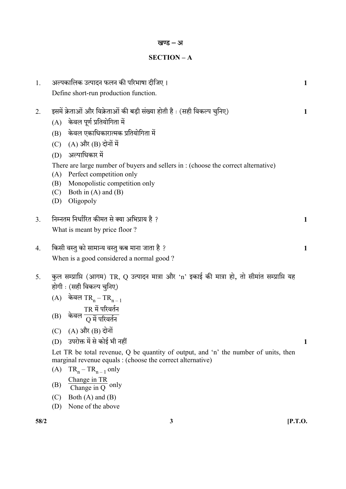| 1.   | अल्पकालिक उत्पादन फलन की परिभाषा दीजिए।<br>Define short-run production function.                                                                                                                                                                                                                                                                                                                                                                                                                                                                                                  | 1            |
|------|-----------------------------------------------------------------------------------------------------------------------------------------------------------------------------------------------------------------------------------------------------------------------------------------------------------------------------------------------------------------------------------------------------------------------------------------------------------------------------------------------------------------------------------------------------------------------------------|--------------|
| 2.   | इसमें क्रेताओं और विक्रेताओं की बड़ी संख्या होती है : (सही विकल्प चुनिए)<br>(A) केवल पूर्ण प्रतियोगिता में<br>(B) केवल एकाधिकारात्मक प्रतियोगिता में<br>(C) $(A)$ और $(B)$ दोनों में<br>अल्पाधिकार में<br>(D)<br>There are large number of buyers and sellers in: (choose the correct alternative)<br>Perfect competition only<br>(A)<br>Monopolistic competition only<br>(B)<br>Both in $(A)$ and $(B)$<br>(C)<br>Oligopoly<br>(D)                                                                                                                                               | 1            |
| 3.   | निम्नतम निर्धारित कीमत से क्या अभिप्राय है ?<br>What is meant by price floor?                                                                                                                                                                                                                                                                                                                                                                                                                                                                                                     | $\mathbf{1}$ |
| 4.   | किसी वस्तु को सामान्य वस्तु कब माना जाता है ?<br>When is a good considered a normal good?                                                                                                                                                                                                                                                                                                                                                                                                                                                                                         | $\mathbf{1}$ |
| 5.   | कुल सम्प्राप्ति (आगम) TR, Q उत्पादन मात्रा और 'n' इकाई की मात्रा हो, तो सीमांत सम्प्राप्ति यह<br>होगी : (सही विकल्प चुनिए)<br>(A) केवल TR <sub>n</sub> – TR <sub>n – 1</sub><br>TR में परिवर्तन<br>(B)<br>केवल<br>$(A)$ और $(B)$ दोनों<br>(C)<br>(D) उपरोक्त में से कोई भी नहीं<br>Let TR be total revenue, $Q$ be quantity of output, and 'n' the number of units, then<br>marginal revenue equals : (choose the correct alternative)<br>$TR_n - TR_{n-1}$ only<br>(A)<br>Change in $TR$<br>Change in $Q$ only<br>(B)<br>Both $(A)$ and $(B)$<br>(C)<br>None of the above<br>(D) | 1            |
| 58/2 | 3<br>$[$ P.T.O.                                                                                                                                                                                                                                                                                                                                                                                                                                                                                                                                                                   |              |

खण्ड – अ

SECTION – A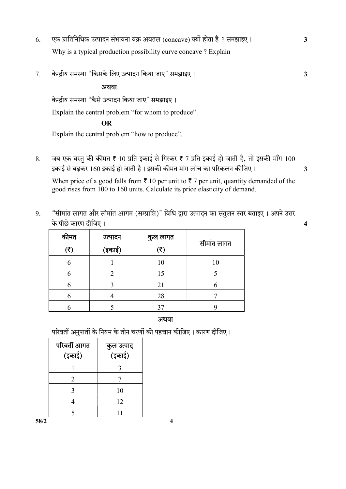- 6. एक प्रातिनिधिक उत्पादन संभावना वक्र अवतल (concave) क्यों होता है ? समझाइए । 3 Why is a typical production possibility curve concave ? Explain
- 7. " " 3

### अथवा

केन्दीय समस्या "कैसे उत्पादन किया जाए" समझाइए।

Explain the central problem "for whom to produce".

# OR

Explain the central problem "how to produce".

8. जब एक वस्तु की कीमत ₹ 10 प्रति इकाई से गिरकर ₹ 7 प्रति इकाई हो जाती है, तो इसकी माँग 100 160 3

When price of a good falls from  $\bar{\tau}$  10 per unit to  $\bar{\tau}$  7 per unit, quantity demanded of the good rises from 100 to 160 units. Calculate its price elasticity of demand.

9. "सीमांत लागत और सीमांत आगम (सम्प्राप्ति)" विधि द्वारा उत्पादन का संतुलन स्तर बताइए । अपने उत्तर 4

| कीमत                 | उत्पादन<br>.<br>(इकाई) | कुल लागत<br>$(\overline{\zeta})$ | सीमांत लागत |
|----------------------|------------------------|----------------------------------|-------------|
| $(\overline{\zeta})$ |                        |                                  |             |
|                      |                        | 10                               | 10          |
|                      | 2                      | 15                               |             |
|                      |                        | 21                               |             |
|                      |                        | 28                               |             |
|                      |                        |                                  |             |

#### अथवा

परिवर्ती अनुपातों के नियम के तीन चरणों की पहचान कीजिए। कारण दीजिए।

| परिवर्ती आगत<br>(इकाई) | कुल उत्पाद<br>.<br>(इकाई) |
|------------------------|---------------------------|
|                        | 3                         |
| 2                      |                           |
| 3                      | 10                        |
|                        | 12                        |
|                        |                           |

 $58/2$  4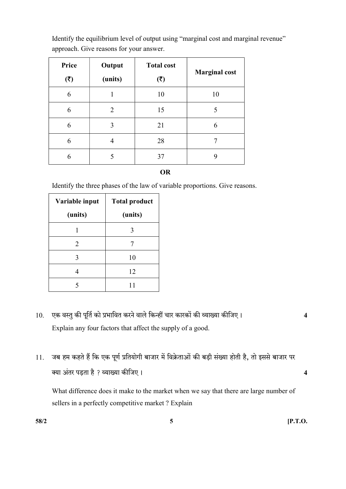| Identify the equilibrium level of output using "marginal cost and marginal revenue" |
|-------------------------------------------------------------------------------------|
| approach. Give reasons for your answer.                                             |

| Price<br>(3) | Output<br>(units) | <b>Total cost</b><br>(3) | <b>Marginal cost</b> |
|--------------|-------------------|--------------------------|----------------------|
| 6            |                   | 10                       | 10                   |
| 6            | 2                 | 15                       | 5                    |
| 6            | 3                 | 21                       | 6                    |
| 6            | 4                 | 28                       |                      |
| 6            |                   | 37                       | 9                    |

OR

Identify the three phases of the law of variable proportions. Give reasons.

| Variable input        | <b>Total product</b> |  |
|-----------------------|----------------------|--|
| (units)               | (units)              |  |
|                       |                      |  |
| $\mathcal{D}_{\cdot}$ |                      |  |
| 3                     | 10                   |  |
|                       | 12                   |  |
|                       |                      |  |

- 10. एक वस्तु की पूर्ति को प्रभावित करने वाले किन्हीं चार कारकों की व्याख्या कीजिए। 4 Explain any four factors that affect the supply of a good.
- 11. जब हम कहते हैं कि एक पूर्ण प्रतियोगी बाजार में विक्रेताओं की बड़ी संख्या होती है, तो इससे बाजार पर क्या अंतर पड़ता है ? व्याख्या कीजिए । सामान्य कार्यालय करने के सामान्य प्रकार के सामान्य प्रकार प्रकार के सामा

What difference does it make to the market when we say that there are large number of sellers in a perfectly competitive market ? Explain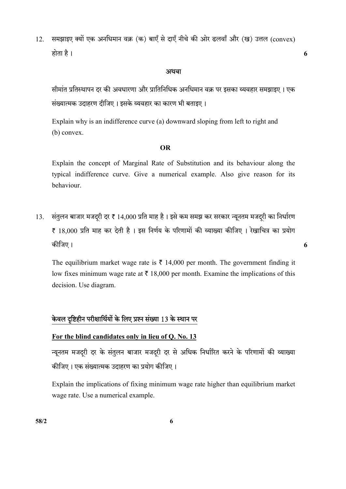12. समझाइए क्यों एक अनधिमान वक्र (क) बाएँ से दाएँ नीचे की ओर ढलवाँ और (ख) उत्तल (convex) 6

#### अथवा

सीमांत प्रतिस्थापन दर की अवधारणा और प्रातिनिधिक अनधिमान वक्र पर इसका व्यवहार समझाइए । एक संख्यात्मक उदाहरण दीजिए। इसके व्यवहार का कारण भी बताइए।

 Explain why is an indifference curve (a) downward sloping from left to right and (b) convex.

#### OR

 Explain the concept of Marginal Rate of Substitution and its behaviour along the typical indifference curve. Give a numerical example. Also give reason for its behaviour.

13. संतुलन बाजार मजदूरी दर ₹ 14,000 प्रति माह है। इसे कम समझ कर सरकार न्यूनतम मजदूरी का निर्धारण ₹ 18,000 प्रति माह कर देती है। इस निर्णय के परिणामों की व्याख्या कीजिए। रेखाचित्र का प्रयोग 6

The equilibrium market wage rate is  $\bar{\tau}$  14,000 per month. The government finding it low fixes minimum wage rate at  $\bar{\tau}$  18,000 per month. Examine the implications of this decision. Use diagram.

# केवल दृष्टिहीन परीक्षार्थियों के लिए प्रश्न संख्या 13 के स्थान पर

# For the blind candidates only in lieu of Q. No. 13

न्यूनतम मजदरी दर के संतुलन बाजार मजदरी दर से अधिक निर्धारित करने के परिणामों की व्याख्या कीजिए। एक संख्यात्मक उदाहरण का प्रयोग कीजिए।

Explain the implications of fixing minimum wage rate higher than equilibrium market wage rate. Use a numerical example.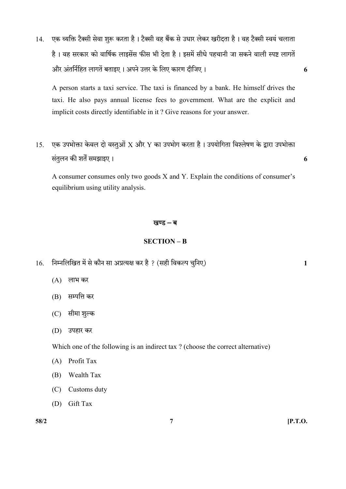14. एक व्यक्ति टैक्सी सेवा शुरू करता है। टैक्सी वह बैंक से उधार लेकर खरीदता है। वह टैक्सी स्वयं चलाता है। वह सरकार को वार्षिक लाइसेंस फीस भी देता है। इसमें सीधे पहचानी जा सकने वाली स्पष्ट लागतें 6

A person starts a taxi service. The taxi is financed by a bank. He himself drives the taxi. He also pays annual license fees to government. What are the explicit and implicit costs directly identifiable in it ? Give reasons for your answer.

15. एक उपभोक्ता केवल दो वस्तुओं X और Y का उपभोग करता है। उपयोगिता विश्लेषण के द्वारा उपभोक्ता संतुलन की शर्तें समझाइए । संस्थापित के साथ प्रतिक्रम करने के साथ प्रतिक्रम करने के साथ प्रतिक्रम करने के साथ प

A consumer consumes only two goods X and Y. Explain the conditions of consumer's equilibrium using utility analysis.

#### खण्ड $-$ ब

#### SECTION – B

- $16.$  निम्नलिखित में से कौन सा अप्रत्यक्ष कर है ? (सही विकल्प चुनिए)  $1$ 
	- $(A)$  लाभ कर
	- (B) सम्पत्ति कर
	- (C) सीमा शुल्क
	- (D)

Which one of the following is an indirect tax ? (choose the correct alternative)

- (A) Profit Tax
- (B) Wealth Tax
- (C) Customs duty
- (D) Gift Tax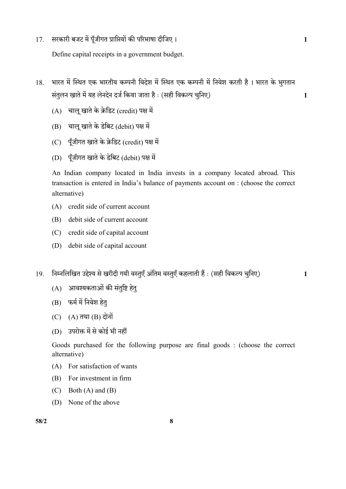17. सरकारी बजट में पूँजीगत प्राप्तियों की परिभाषा दीजिए। बाल के बाद कर बाद कर बाद से प्रशासन के बाद प

Define capital receipts in a government budget.

- 18. भारत में स्थित एक भारतीय कम्पनी विदेश में स्थित एक कम्पनी में निवेश करती है। भारत के भुगतान ( ) 1
	- $(A)$  चालू खाते के क्रेडिट (credit) पक्ष में
	- $(B)$  चाल खाते के डेबिट (debit) पक्ष में
	- (C) पूँजीगत खाते के क्रेडिट (credit) पक्ष में
	- (D) पूँजीगत खाते के डेबिट (debit) पक्ष में

An Indian company located in India invests in a company located abroad. This transaction is entered in India's balance of payments account on : (choose the correct alternative)

- (A) credit side of current account
- (B) debit side of current account
- (C) credit side of capital account
- (D) debit side of capital account
- 19. निम्नलिखित उद्देश्य से खरीदी गयी वस्तुएँ अंतिम वस्तुएँ कहलाती हैं : (सही विकल्प चनिए) 1
	- (A) आवश्यकताओं की संतुष्टि हेत्
	- (B) फर्म में निवेश हेत्
	- $(C)$   $(A)$  तथा  $(B)$  दोनों
	- (D) उपरोक्त में से कोई भी नहीं

Goods purchased for the following purpose are final goods : (choose the correct alternative)

- (A) For satisfaction of wants
- (B) For investment in firm
- $(C)$  Both  $(A)$  and  $(B)$
- (D) None of the above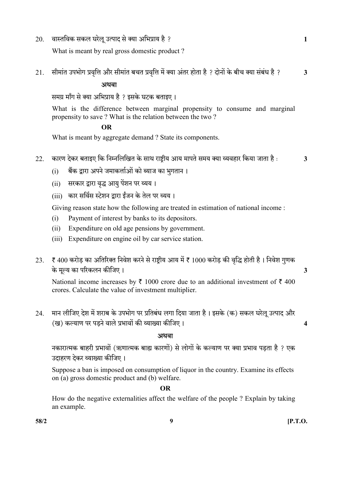$20.$  वास्तविक सकल घरेलू उत्पाद से क्या अभिप्राय है ?  $\,$ 

What is meant by real gross domestic product ?

21. सीमांत उपभोग प्रवृत्ति और सीमांत बचत प्रवृत्ति में क्या अंतर होता है ? दोनों के बीच क्या संबंध है ?  $\,$  3

अथवा

समग्र माँग से क्या अभिप्राय है ? इसके घटक बताइए।

What is the difference between marginal propensity to consume and marginal propensity to save ? What is the relation between the two ?

# OR

What is meant by aggregate demand ? State its components.

- 22. कारण देकर बताइए कि निम्नलिखित के साथ राष्ट्रीय आय मापते समय क्या व्यवहार किया जाता है : 3
	-

- (i) बैंक द्वारा अपने जमाकर्त्ताओं को ब्याज का भूगतान।
- (ii) सरकार द्वारा वृद्ध आयु पेंशन पर व्यय।
- (iii) कार सर्विस स्टेशन द्वारा ईंजन के तेल पर व्यय।

Giving reason state how the following are treated in estimation of national income :

- (i) Payment of interest by banks to its depositors.
- (ii) Expenditure on old age pensions by government.
- (iii) Expenditure on engine oil by car service station.
- 23. ₹ 400 करोड़ का अतिरिक्त निवेश करने से राष्ट्रीय आय में ₹ 1000 करोड़ की वृद्धि होती है। निवेश गुणक के मृत्य का परिकलन कीजिए । सामान्य का प्राप्त करने के प्राप्त करने के अन्य प्राप्त करने के अन्य प्राप्त करने अ

National income increases by  $\bar{\tau}$  1000 crore due to an additional investment of  $\bar{\tau}$  400 crores. Calculate the value of investment multiplier.

24. मान लीजिए देश में शराब के उपभोग पर प्रतिबंध लगा दिया जाता है। इसके (क) सकल घरेलू उत्पाद और () 4

# <u>अथवा</u>

नकारात्मक बाहरी प्रभावों (ऋणात्मक बाह्य कारणों) से लोगों के कल्याण पर क्या प्रभाव पडता है ? एक उटाहरण देकर व्याख्या कीजिए।

 Suppose a ban is imposed on consumption of liquor in the country. Examine its effects on (a) gross domestic product and (b) welfare.

# OR

 How do the negative externalities affect the welfare of the people ? Explain by taking an example.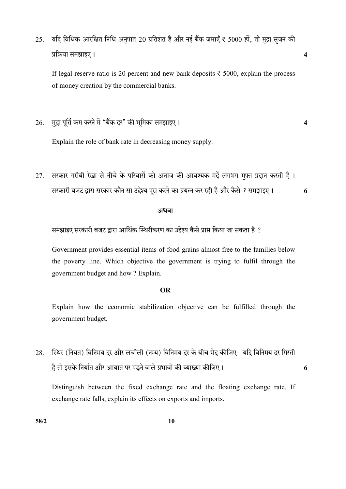25. यदि विधिक आरक्षित निधि अनुपात 20 प्रतिशत है और नई बैंक जमाएँ ₹ 5000 हों, तो मुद्रा सृजन की 4

If legal reserve ratio is 20 percent and new bank deposits  $\bar{\tau}$  5000, explain the process of money creation by the commercial banks.

 $26.$  मुद्रा पूर्ति कम करने में "बैंक दर" की भूमिका समझाइए ।  $\,$ 

Explain the role of bank rate in decreasing money supply.

27. सरकार गरीबी रेखा से नीचे के परिवारों को अनाज की आवश्यक मदें लगभग मुफ्त प्रदान करती है। सरकारी बजट द्वारा सरकार कौन सा उद्देश्य पूरा करने का प्रयत्न कर रही है और कैसे ? समझाइए ।  $\,$  6

#### अथवा

समझाइए सरकारी बजट द्वारा आर्थिक स्थिरीकरण का उद्देश्य कैसे प्राप्त किया जा सकता है ?

 Government provides essential items of food grains almost free to the families below the poverty line. Which objective the government is trying to fulfil through the government budget and how ? Explain.

## OR

 Explain how the economic stabilization objective can be fulfilled through the government budget.

28. स्थिर (नियत) विनिमय दर और लचीली (नम्य) विनिमय दर के बीच भेद कीजिए । यदि विनिमय दर गिरती 6

Distinguish between the fixed exchange rate and the floating exchange rate. If exchange rate falls, explain its effects on exports and imports.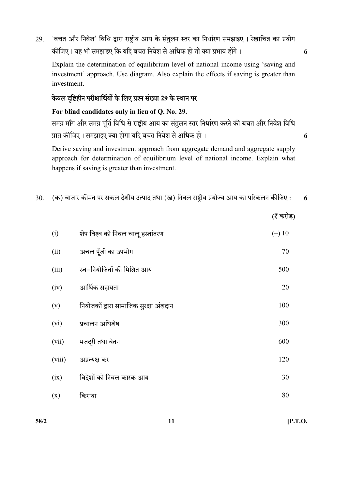29. 'बचत और निवेश' विधि द्वारा राष्ट्रीय आय के संतुलन स्तर का निर्धारण समझाइए । रेखाचित्र का प्रयोग कीजिए। यह भी समझाइए कि यदि बचत निवेश से अधिक हो तो क्या प्रभाव होंगे। 6

Explain the determination of equilibrium level of national income using 'saving and investment' approach. Use diagram. Also explain the effects if saving is greater than investment.

# केवल दृष्टिहीन परीक्षार्थियों के लिए प्रश्न संख्या 29 के स्थान पर

For blind candidates only in lieu of Q. No. 29.

समग्र माँग और समग्र पूर्ति विधि से राष्ट्रीय आय का संतुलन स्तर निर्धारण करने की बचत और निवेश विधि प्राप्त कीजिए । समझाइए क्या होगा यदि बचत निवेश से अधिक हो ।  $\,$ 

 Derive saving and investment approach from aggregate demand and aggregate supply approach for determination of equilibrium level of national income. Explain what happens if saving is greater than investment.

30.  $\,$  (क) बाजार कीमत पर सकल देशीय उत्पाद तथा (ख) निवल राष्ट्रीय प्रयोज्य आय का परिकलन कीजिए :  $\,$  6

|        |                                        | $\mathbf{v}$ |
|--------|----------------------------------------|--------------|
| (i)    | शेष विश्व को निवल चालू हस्तांतरण       | $(-) 10$     |
| (ii)   | अचल पूँजी का उपभोग                     | 70           |
| (iii)  | स्व-नियोजितों की मिश्रित आय            | 500          |
| (iv)   | आर्थिक सहायता                          | 20           |
| (v)    | नियोजकों द्वारा सामाजिक सुरक्षा अंशदान | 100          |
| (vi)   | प्रचालन अधिशेष                         | 300          |
| (vii)  | मजदूरी तथा वेतन                        | 600          |
| (viii) | अप्रत्यक्ष कर                          | 120          |
| (ix)   | विदेशों को निवल कारक आय                | 30           |
| (x)    | किराया                                 | 80           |
|        |                                        |              |

 $58/2$  [P.T.O.

 $(7 \pi)$